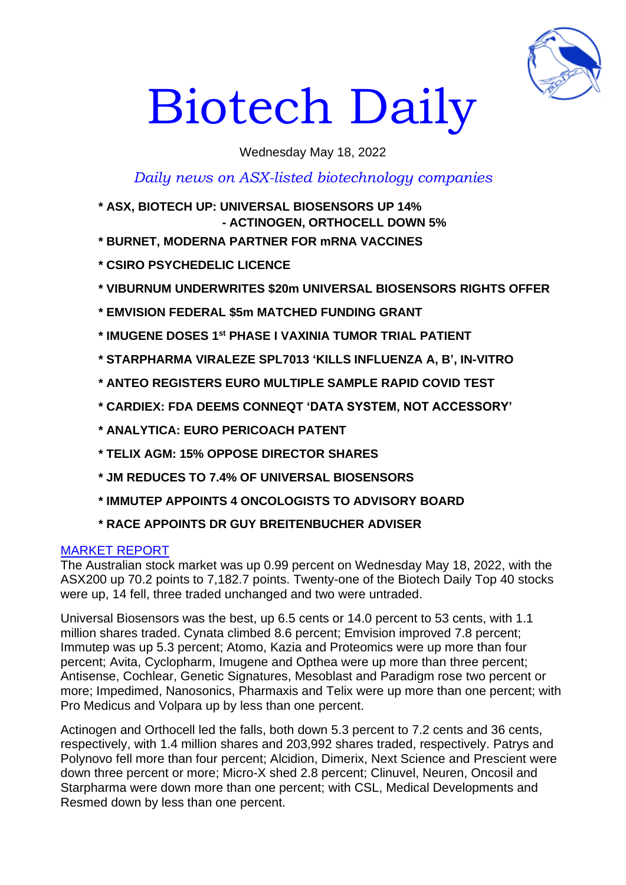

# Biotech Daily

Wednesday May 18, 2022

# *Daily news on ASX-listed biotechnology companies*

- **\* ASX, BIOTECH UP: UNIVERSAL BIOSENSORS UP 14% - ACTINOGEN, ORTHOCELL DOWN 5%**
- **\* BURNET, MODERNA PARTNER FOR mRNA VACCINES**
- **\* CSIRO PSYCHEDELIC LICENCE**
- **\* VIBURNUM UNDERWRITES \$20m UNIVERSAL BIOSENSORS RIGHTS OFFER**
- **\* EMVISION FEDERAL \$5m MATCHED FUNDING GRANT**
- **\* IMUGENE DOSES 1st PHASE I VAXINIA TUMOR TRIAL PATIENT**
- **\* STARPHARMA VIRALEZE SPL7013 'KILLS INFLUENZA A, B', IN-VITRO**
- **\* ANTEO REGISTERS EURO MULTIPLE SAMPLE RAPID COVID TEST**
- **\* CARDIEX: FDA DEEMS CONNEQT 'DATA SYSTEM, NOT ACCESSORY'**
- **\* ANALYTICA: EURO PERICOACH PATENT**
- **\* TELIX AGM: 15% OPPOSE DIRECTOR SHARES**
- **\* JM REDUCES TO 7.4% OF UNIVERSAL BIOSENSORS**
- **\* IMMUTEP APPOINTS 4 ONCOLOGISTS TO ADVISORY BOARD**
- **\* RACE APPOINTS DR GUY BREITENBUCHER ADVISER**

#### MARKET REPORT

The Australian stock market was up 0.99 percent on Wednesday May 18, 2022, with the ASX200 up 70.2 points to 7,182.7 points. Twenty-one of the Biotech Daily Top 40 stocks were up, 14 fell, three traded unchanged and two were untraded.

Universal Biosensors was the best, up 6.5 cents or 14.0 percent to 53 cents, with 1.1 million shares traded. Cynata climbed 8.6 percent; Emvision improved 7.8 percent; Immutep was up 5.3 percent; Atomo, Kazia and Proteomics were up more than four percent; Avita, Cyclopharm, Imugene and Opthea were up more than three percent; Antisense, Cochlear, Genetic Signatures, Mesoblast and Paradigm rose two percent or more; Impedimed, Nanosonics, Pharmaxis and Telix were up more than one percent; with Pro Medicus and Volpara up by less than one percent.

Actinogen and Orthocell led the falls, both down 5.3 percent to 7.2 cents and 36 cents, respectively, with 1.4 million shares and 203,992 shares traded, respectively. Patrys and Polynovo fell more than four percent; Alcidion, Dimerix, Next Science and Prescient were down three percent or more; Micro-X shed 2.8 percent; Clinuvel, Neuren, Oncosil and Starpharma were down more than one percent; with CSL, Medical Developments and Resmed down by less than one percent.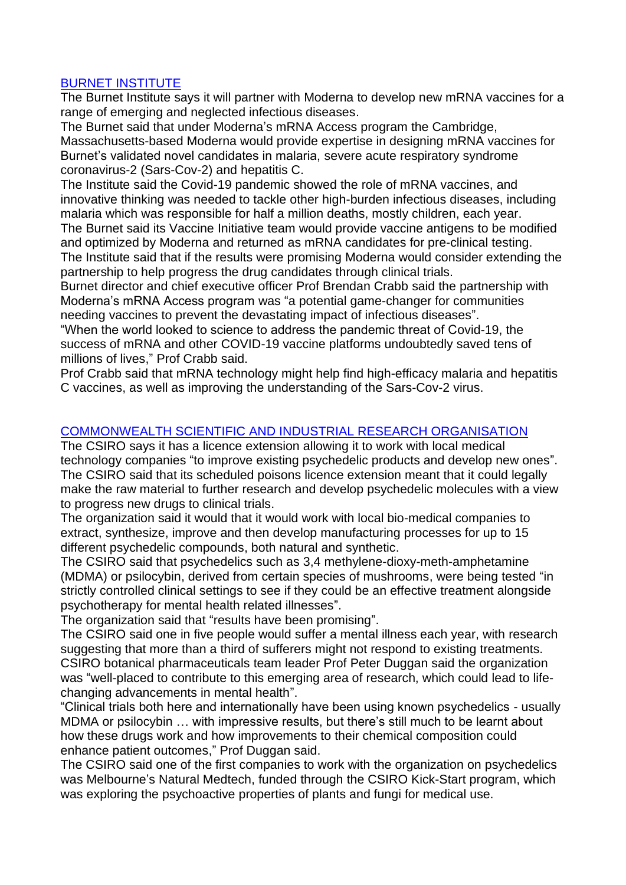# BURNET INSTITUTE

The Burnet Institute says it will partner with Moderna to develop new mRNA vaccines for a range of emerging and neglected infectious diseases.

The Burnet said that under Moderna's mRNA Access program the Cambridge, Massachusetts-based Moderna would provide expertise in designing mRNA vaccines for Burnet's validated novel candidates in malaria, severe acute respiratory syndrome coronavirus-2 (Sars-Cov-2) and hepatitis C.

The Institute said the Covid-19 pandemic showed the role of mRNA vaccines, and innovative thinking was needed to tackle other high-burden infectious diseases, including malaria which was responsible for half a million deaths, mostly children, each year.

The Burnet said its Vaccine Initiative team would provide vaccine antigens to be modified and optimized by Moderna and returned as mRNA candidates for pre-clinical testing. The Institute said that if the results were promising Moderna would consider extending the partnership to help progress the drug candidates through clinical trials.

Burnet director and chief executive officer Prof Brendan Crabb said the partnership with Moderna's mRNA Access program was "a potential game-changer for communities needing vaccines to prevent the devastating impact of infectious diseases".

"When the world looked to science to address the pandemic threat of Covid-19, the success of mRNA and other COVID-19 vaccine platforms undoubtedly saved tens of millions of lives," Prof Crabb said.

Prof Crabb said that mRNA technology might help find high-efficacy malaria and hepatitis C vaccines, as well as improving the understanding of the Sars-Cov-2 virus.

# COMMONWEALTH SCIENTIFIC AND INDUSTRIAL RESEARCH ORGANISATION

The CSIRO says it has a licence extension allowing it to work with local medical technology companies "to improve existing psychedelic products and develop new ones". The CSIRO said that its scheduled poisons licence extension meant that it could legally make the raw material to further research and develop psychedelic molecules with a view to progress new drugs to clinical trials.

The organization said it would that it would work with local bio-medical companies to extract, synthesize, improve and then develop manufacturing processes for up to 15 different psychedelic compounds, both natural and synthetic.

The CSIRO said that psychedelics such as 3,4 methylene-dioxy-meth-amphetamine (MDMA) or psilocybin, derived from certain species of mushrooms, were being tested "in strictly controlled clinical settings to see if they could be an effective treatment alongside psychotherapy for mental health related illnesses".

The organization said that "results have been promising".

The CSIRO said one in five people would suffer a mental illness each year, with research suggesting that more than a third of sufferers might not respond to existing treatments. CSIRO botanical pharmaceuticals team leader Prof Peter Duggan said the organization was "well-placed to contribute to this emerging area of research, which could lead to lifechanging advancements in mental health".

"Clinical trials both here and internationally have been using known psychedelics - usually MDMA or psilocybin … with impressive results, but there's still much to be learnt about how these drugs work and how improvements to their chemical composition could enhance patient outcomes," Prof Duggan said.

The CSIRO said one of the first companies to work with the organization on psychedelics was Melbourne's Natural Medtech, funded through the CSIRO Kick-Start program, which was exploring the psychoactive properties of plants and fungi for medical use.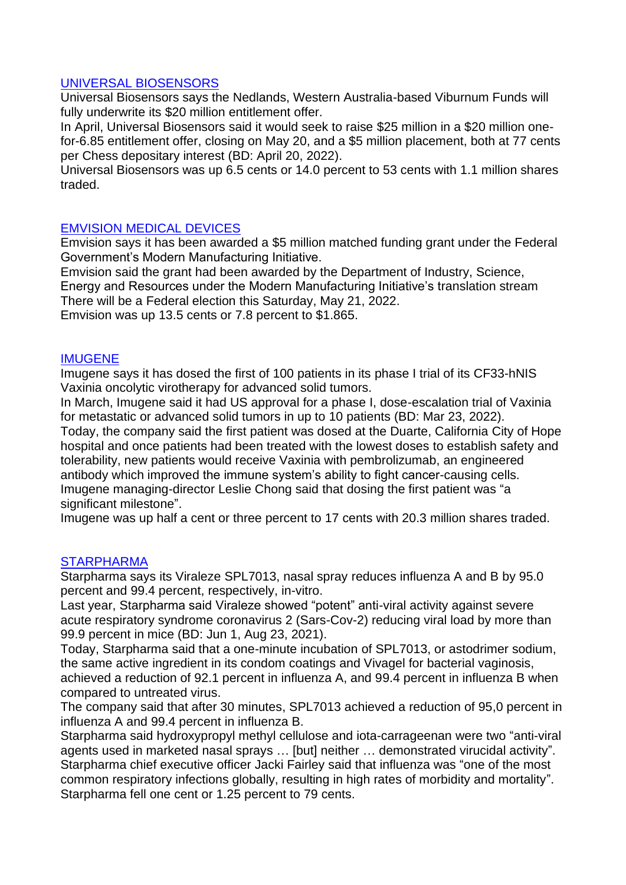#### UNIVERSAL BIOSENSORS

Universal Biosensors says the Nedlands, Western Australia-based Viburnum Funds will fully underwrite its \$20 million entitlement offer.

In April, Universal Biosensors said it would seek to raise \$25 million in a \$20 million onefor-6.85 entitlement offer, closing on May 20, and a \$5 million placement, both at 77 cents per Chess depositary interest (BD: April 20, 2022).

Universal Biosensors was up 6.5 cents or 14.0 percent to 53 cents with 1.1 million shares traded.

### EMVISION MEDICAL DEVICES

Emvision says it has been awarded a \$5 million matched funding grant under the Federal Government's Modern Manufacturing Initiative.

Emvision said the grant had been awarded by the Department of Industry, Science, Energy and Resources under the Modern Manufacturing Initiative's translation stream There will be a Federal election this Saturday, May 21, 2022.

Emvision was up 13.5 cents or 7.8 percent to \$1.865.

#### IMUGENE

Imugene says it has dosed the first of 100 patients in its phase I trial of its CF33-hNIS Vaxinia oncolytic virotherapy for advanced solid tumors.

In March, Imugene said it had US approval for a phase I, dose-escalation trial of Vaxinia for metastatic or advanced solid tumors in up to 10 patients (BD: Mar 23, 2022).

Today, the company said the first patient was dosed at the Duarte, California City of Hope hospital and once patients had been treated with the lowest doses to establish safety and tolerability, new patients would receive Vaxinia with pembrolizumab, an engineered antibody which improved the immune system's ability to fight cancer-causing cells. Imugene managing-director Leslie Chong said that dosing the first patient was "a significant milestone".

Imugene was up half a cent or three percent to 17 cents with 20.3 million shares traded.

#### **STARPHARMA**

Starpharma says its Viraleze SPL7013, nasal spray reduces influenza A and B by 95.0 percent and 99.4 percent, respectively, in-vitro.

Last year, Starpharma said Viraleze showed "potent" anti-viral activity against severe acute respiratory syndrome coronavirus 2 (Sars-Cov-2) reducing viral load by more than 99.9 percent in mice (BD: Jun 1, Aug 23, 2021).

Today, Starpharma said that a one-minute incubation of SPL7013, or astodrimer sodium, the same active ingredient in its condom coatings and Vivagel for bacterial vaginosis, achieved a reduction of 92.1 percent in influenza A, and 99.4 percent in influenza B when compared to untreated virus.

The company said that after 30 minutes, SPL7013 achieved a reduction of 95,0 percent in influenza A and 99.4 percent in influenza B.

Starpharma said hydroxypropyl methyl cellulose and iota-carrageenan were two "anti-viral agents used in marketed nasal sprays … [but] neither … demonstrated virucidal activity". Starpharma chief executive officer Jacki Fairley said that influenza was "one of the most common respiratory infections globally, resulting in high rates of morbidity and mortality". Starpharma fell one cent or 1.25 percent to 79 cents.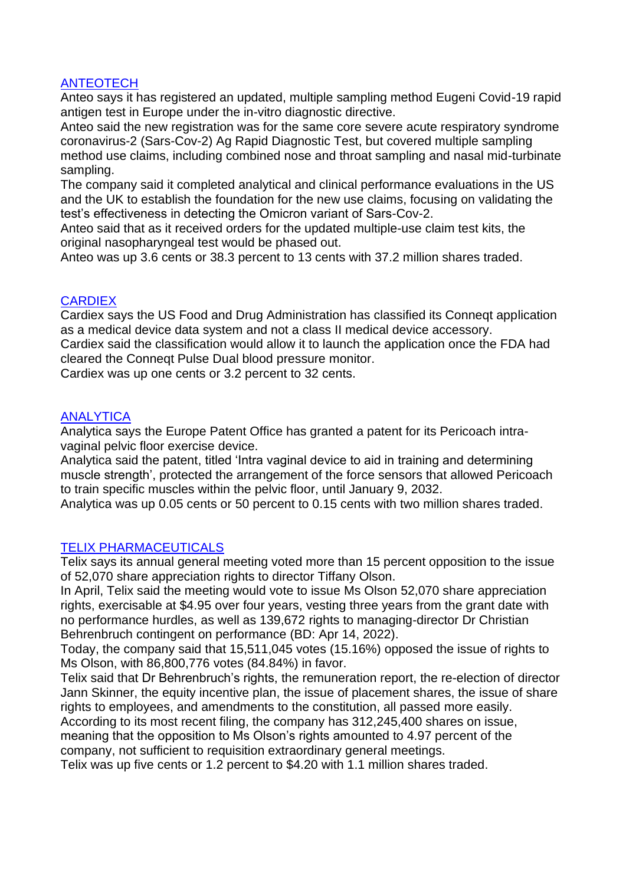# **ANTEOTECH**

Anteo says it has registered an updated, multiple sampling method Eugeni Covid-19 rapid antigen test in Europe under the in-vitro diagnostic directive.

Anteo said the new registration was for the same core severe acute respiratory syndrome coronavirus-2 (Sars-Cov-2) Ag Rapid Diagnostic Test, but covered multiple sampling method use claims, including combined nose and throat sampling and nasal mid-turbinate sampling.

The company said it completed analytical and clinical performance evaluations in the US and the UK to establish the foundation for the new use claims, focusing on validating the test's effectiveness in detecting the Omicron variant of Sars-Cov-2.

Anteo said that as it received orders for the updated multiple-use claim test kits, the original nasopharyngeal test would be phased out.

Anteo was up 3.6 cents or 38.3 percent to 13 cents with 37.2 million shares traded.

# **CARDIEX**

Cardiex says the US Food and Drug Administration has classified its Conneqt application as a medical device data system and not a class II medical device accessory.

Cardiex said the classification would allow it to launch the application once the FDA had cleared the Conneqt Pulse Dual blood pressure monitor.

Cardiex was up one cents or 3.2 percent to 32 cents.

# ANALYTICA

Analytica says the Europe Patent Office has granted a patent for its Pericoach intravaginal pelvic floor exercise device.

Analytica said the patent, titled 'Intra vaginal device to aid in training and determining muscle strength', protected the arrangement of the force sensors that allowed Pericoach to train specific muscles within the pelvic floor, until January 9, 2032.

Analytica was up 0.05 cents or 50 percent to 0.15 cents with two million shares traded.

# TELIX PHARMACEUTICALS

Telix says its annual general meeting voted more than 15 percent opposition to the issue of 52,070 share appreciation rights to director Tiffany Olson.

In April, Telix said the meeting would vote to issue Ms Olson 52,070 share appreciation rights, exercisable at \$4.95 over four years, vesting three years from the grant date with no performance hurdles, as well as 139,672 rights to managing-director Dr Christian Behrenbruch contingent on performance (BD: Apr 14, 2022).

Today, the company said that 15,511,045 votes (15.16%) opposed the issue of rights to Ms Olson, with 86,800,776 votes (84.84%) in favor.

Telix said that Dr Behrenbruch's rights, the remuneration report, the re-election of director Jann Skinner, the equity incentive plan, the issue of placement shares, the issue of share rights to employees, and amendments to the constitution, all passed more easily.

According to its most recent filing, the company has 312,245,400 shares on issue, meaning that the opposition to Ms Olson's rights amounted to 4.97 percent of the company, not sufficient to requisition extraordinary general meetings.

Telix was up five cents or 1.2 percent to \$4.20 with 1.1 million shares traded.